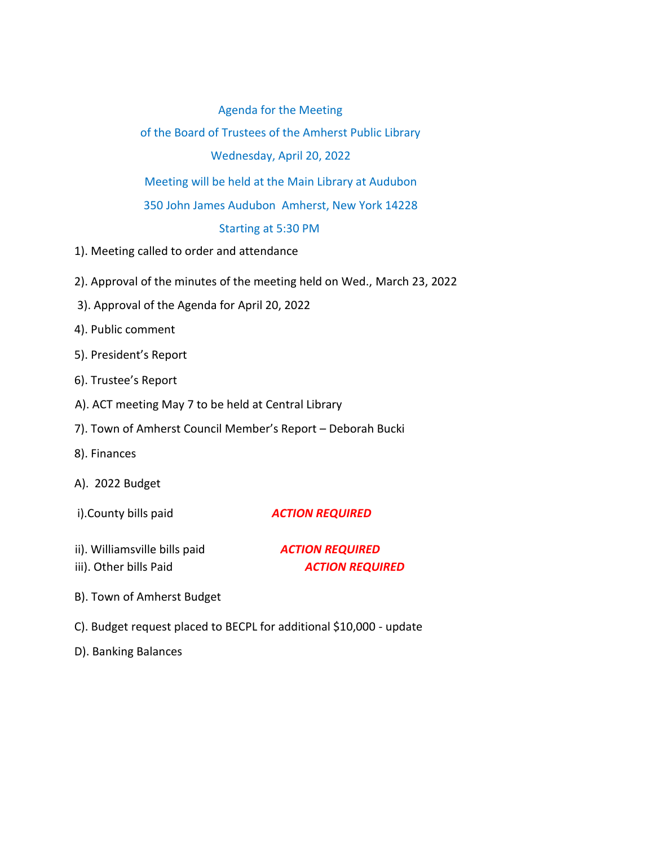## Agenda for the Meeting

of the Board of Trustees of the Amherst Public Library Wednesday, April 20, 2022

Meeting will be held at the Main Library at Audubon

350 John James Audubon Amherst, New York 14228

## Starting at 5:30 PM

- 1). Meeting called to order and attendance
- 2). Approval of the minutes of the meeting held on Wed., March 23, 2022
- 3). Approval of the Agenda for April 20, 2022
- 4). Public comment
- 5). President's Report
- 6). Trustee's Report
- A). ACT meeting May 7 to be held at Central Library
- 7). Town of Amherst Council Member's Report Deborah Bucki
- 8). Finances
- A). 2022 Budget
- 

i).County bills paid *ACTION REQUIRED*

ii). Williamsville bills paid *ACTION REQUIRED*

iii). Other bills Paid **ACTION REQUIRED** 

- B). Town of Amherst Budget
- C). Budget request placed to BECPL for additional \$10,000 update
- D). Banking Balances